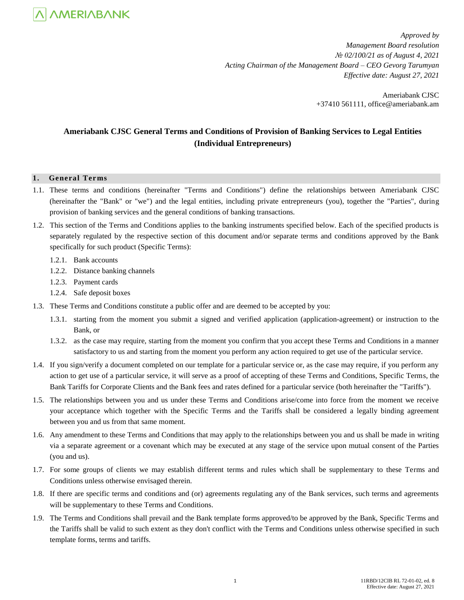

*Approved by Management Board resolution № 02/100/21 as of August 4, 2021 Acting Chairman of the Management Board – CEO Gevorg Tarumyan Effective date: August 27, 2021*

> Ameriabank CJSC +37410 561111, office@ameriabank.am

### **Ameriabank CJSC General Terms and Conditions of Provision of Banking Services to Legal Entities (Individual Entrepreneurs)**

#### **1. General Terms**

- 1.1. These terms and conditions (hereinafter "Terms and Conditions") define the relationships between Ameriabank CJSC (hereinafter the "Bank" or "we") and the legal entities, including private entrepreneurs (you), together the "Parties", during provision of banking services and the general conditions of banking transactions.
- 1.2. This section of the Terms and Conditions applies to the banking instruments specified below. Each of the specified products is separately regulated by the respective section of this document and/or separate terms and conditions approved by the Bank specifically for such product (Specific Terms):
	- 1.2.1. Bank accounts
	- 1.2.2. Distance banking channels
	- 1.2.3. Payment cards
	- 1.2.4. Safe deposit boxes
- 1.3. These Terms and Conditions constitute a public offer and are deemed to be accepted by you:
	- 1.3.1. starting from the moment you submit a signed and verified application (application-agreement) or instruction to the Bank, or
	- 1.3.2. as the case may require, starting from the moment you confirm that you accept these Terms and Conditions in a manner satisfactory to us and starting from the moment you perform any action required to get use of the particular service.
- 1.4. If you sign/verify a document completed on our template for a particular service or, as the case may require, if you perform any action to get use of a particular service, it will serve as a proof of accepting of these Terms and Conditions, Specific Terms, the Bank Tariffs for Corporate Clients and the Bank fees and rates defined for a particular service (both hereinafter the "Tariffs").
- 1.5. The relationships between you and us under these Terms and Conditions arise/come into force from the moment we receive your acceptance which together with the Specific Terms and the Tariffs shall be considered a legally binding agreement between you and us from that same moment.
- 1.6. Any amendment to these Terms and Conditions that may apply to the relationships between you and us shall be made in writing via a separate agreement or a covenant which may be executed at any stage of the service upon mutual consent of the Parties (you and us).
- 1.7. For some groups of clients we may establish different terms and rules which shall be supplementary to these Terms and Conditions unless otherwise envisaged therein.
- 1.8. If there are specific terms and conditions and (or) agreements regulating any of the Bank services, such terms and agreements will be supplementary to these Terms and Conditions.
- 1.9. The Terms and Conditions shall prevail and the Bank template forms approved/to be approved by the Bank, Specific Terms and the Tariffs shall be valid to such extent as they don't conflict with the Terms and Conditions unless otherwise specified in such template forms, terms and tariffs.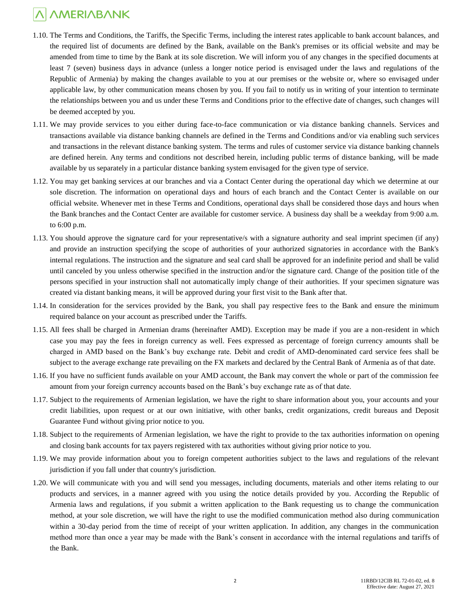- 1.10. The Terms and Conditions, the Tariffs, the Specific Terms, including the interest rates applicable to bank account balances, and the required list of documents are defined by the Bank, available on the Bank's premises or its official website and may be amended from time to time by the Bank at its sole discretion. We will inform you of any changes in the specified documents at least 7 (seven) business days in advance (unless a longer notice period is envisaged under the laws and regulations of the Republic of Armenia) by making the changes available to you at our premises or the website or, where so envisaged under applicable law, by other communication means chosen by you. If you fail to notify us in writing of your intention to terminate the relationships between you and us under these Terms and Conditions prior to the effective date of changes, such changes will be deemed accepted by you.
- 1.11. We may provide services to you either during face-to-face communication or via distance banking channels. Services and transactions available via distance banking channels are defined in the Terms and Conditions and/or via enabling such services and transactions in the relevant distance banking system. The terms and rules of customer service via distance banking channels are defined herein. Any terms and conditions not described herein, including public terms of distance banking, will be made available by us separately in a particular distance banking system envisaged for the given type of service.
- 1.12. You may get banking services at our branches and via a Contact Center during the operational day which we determine at our sole discretion. The information on operational days and hours of each branch and the Contact Center is available on our official website. Whenever met in these Terms and Conditions, operational days shall be considered those days and hours when the Bank branches and the Contact Center are available for customer service. A business day shall be a weekday from 9:00 a.m. to 6:00 p.m.
- 1.13. You should approve the signature card for your representative/s with a signature authority and seal imprint specimen (if any) and provide an instruction specifying the scope of authorities of your authorized signatories in accordance with the Bank's internal regulations. The instruction and the signature and seal card shall be approved for an indefinite period and shall be valid until canceled by you unless otherwise specified in the instruction and/or the signature card. Change of the position title of the persons specified in your instruction shall not automatically imply change of their authorities. If your specimen signature was created via distant banking means, it will be approved during your first visit to the Bank after that.
- 1.14. In consideration for the services provided by the Bank, you shall pay respective fees to the Bank and ensure the minimum required balance on your account as prescribed under the Tariffs.
- 1.15. All fees shall be charged in Armenian drams (hereinafter AMD). Exception may be made if you are a non-resident in which case you may pay the fees in foreign currency as well. Fees expressed as percentage of foreign currency amounts shall be charged in AMD based on the Bank's buy exchange rate. Debit and credit of AMD-denominated card service fees shall be subject to the average exchange rate prevailing on the FX markets and declared by the Central Bank of Armenia as of that date.
- 1.16. If you have no sufficient funds available on your AMD account, the Bank may convert the whole or part of the commission fee amount from your foreign currency accounts based on the Bank's buy exchange rate as of that date.
- 1.17. Subject to the requirements of Armenian legislation, we have the right to share information about you, your accounts and your credit liabilities, upon request or at our own initiative, with other banks, credit organizations, credit bureaus and Deposit Guarantee Fund without giving prior notice to you.
- 1.18. Subject to the requirements of Armenian legislation, we have the right to provide to the tax authorities information on opening and closing bank accounts for tax payers registered with tax authorities without giving prior notice to you.
- 1.19. We may provide information about you to foreign competent authorities subject to the laws and regulations of the relevant jurisdiction if you fall under that country's jurisdiction.
- 1.20. We will communicate with you and will send you messages, including documents, materials and other items relating to our products and services, in a manner agreed with you using the notice details provided by you. According the Republic of Armenia laws and regulations, if you submit a written application to the Bank requesting us to change the communication method, at your sole discretion, we will have the right to use the modified communication method also during communication within a 30-day period from the time of receipt of your written application. In addition, any changes in the communication method more than once a year may be made with the Bank's consent in accordance with the internal regulations and tariffs of the Bank.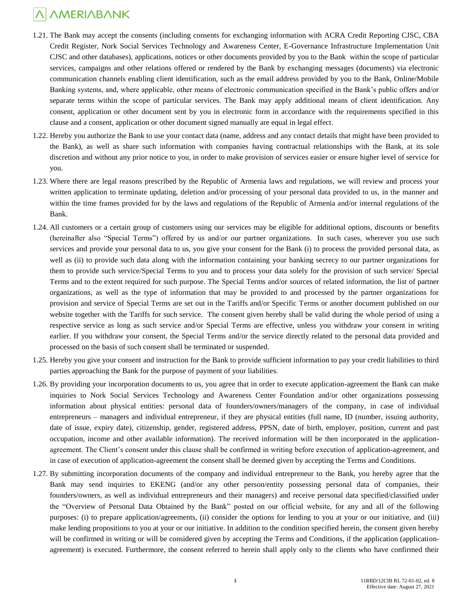- 1.21. The Bank may accept the consents (including consents for exchanging information with ACRA Credit Reporting CJSC, CBA Credit Register, Nork Social Services Technology and Awareness Center, E-Governance Infrastructure Implementation Unit CJSC and other databases), applications, notices or other documents provided by you to the Bank within the scope of particular services, campaigns and other relations offered or rendered by the Bank by exchanging messages (documents) via electronic communication channels enabling client identification, such as the email address provided by you to the Bank, Online/Mobile Banking systems, and, where applicable, other means of electronic communication specified in the Bank's public offers and/or separate terms within the scope of particular services. The Bank may apply additional means of client identification. Any consent, application or other document sent by you in electronic form in accordance with the requirements specified in this clause and a consent, application or other document signed manually are equal in legal effect.
- 1.22. Hereby you authorize the Bank to use your contact data (name, address and any contact details that might have been provided to the Bank), as well as share such information with companies having contractual relationships with the Bank, at its sole discretion and without any prior notice to you, in order to make provision of services easier or ensure higher level of service for you.
- 1.23. Where there are legal reasons prescribed by the Republic of Armenia laws and regulations, we will review and process your written application to terminate updating, deletion and/or processing of your personal data provided to us, in the manner and within the time frames provided for by the laws and regulations of the Republic of Armenia and/or internal regulations of the Bank.
- 1.24. All customers or a certain group of customers using our services may be eligible for additional options, discounts or benefits (hereinafter also "Special Terms") offered by us and/or our partner organizations. In such cases, wherever you use such services and provide your personal data to us, you give your consent for the Bank (i) to process the provided personal data, as well as (ii) to provide such data along with the information containing your banking secrecy to our partner organizations for them to provide such service/Special Terms to you and to process your data solely for the provision of such service/ Special Terms and to the extent required for such purpose. The Special Terms and/or sources of related information, the list of partner organizations, as well as the type of information that may be provided to and processed by the partner organizations for provision and service of Special Terms are set out in the Tariffs and/or Specific Terms or another document published on our website together with the Tariffs for such service. The consent given hereby shall be valid during the whole period of using a respective service as long as such service and/or Special Terms are effective, unless you withdraw your consent in writing earlier. If you withdraw your consent, the Special Terms and/or the service directly related to the personal data provided and processed on the basis of such consent shall be terminated or suspended.
- 1.25. Hereby you give your consent and instruction for the Bank to provide sufficient information to pay your credit liabilities to third parties approaching the Bank for the purpose of payment of your liabilities.
- 1.26. By providing your incorporation documents to us, you agree that in order to execute application-agreement the Bank can make inquiries to Nork Social Services Technology and Awareness Center Foundation and/or other organizations possessing information about physical entities: personal data of founders/owners/managers of the company, in case of individual entrepreneurs – managers and individual entrepreneur, if they are physical entities (full name, ID (number, issuing authority, date of issue, expiry date), citizenship, gender, registered address, PPSN, date of birth, employer, position, current and past occupation, income and other available information). The received information will be then incorporated in the applicationagreement. The Client's consent under this clause shall be confirmed in writing before execution of application-agreement, and in case of execution of application-agreement the consent shall be deemed given by accepting the Terms and Conditions.
- 1.27. By submitting incorporation documents of the company and individual entrepreneur to the Bank, you hereby agree that the Bank may send inquiries to EKENG (and/or any other person/entity possessing personal data of companies, their founders/owners, as well as individual entrepreneurs and their managers) and receive personal data specified/classified under the "Overview of Personal Data Obtained by the Bank" posted on our official website, for any and all of the following purposes: (i) to prepare application/agreements, (ii) consider the options for lending to you at your or our initiative, and (iii) make lending propositions to you at your or our initiative. In addition to the condition specified herein, the consent given hereby will be confirmed in writing or will be considered given by accepting the Terms and Conditions, if the applicationagreement) is executed. Furthermore, the consent referred to herein shall apply only to the clients who have confirmed their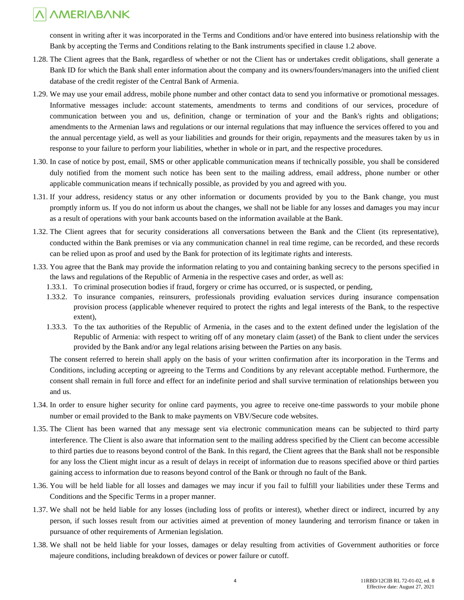consent in writing after it was incorporated in the Terms and Conditions and/or have entered into business relationship with the Bank by accepting the Terms and Conditions relating to the Bank instruments specified in clause 1.2 above.

- 1.28. The Client agrees that the Bank, regardless of whether or not the Client has or undertakes credit obligations, shall generate a Bank ID for which the Bank shall enter information about the company and its owners/founders/managers into the unified client database of the credit register of the Central Bank of Armenia.
- 1.29. We may use your email address, mobile phone number and other contact data to send you informative or promotional messages. Informative messages include: account statements, amendments to terms and conditions of our services, procedure of communication between you and us, definition, change or termination of your and the Bank's rights and obligations; amendments to the Armenian laws and regulations or our internal regulations that may influence the services offered to you and the annual percentage yield, as well as your liabilities and grounds for their origin, repayments and the measures taken by us in response to your failure to perform your liabilities, whether in whole or in part, and the respective procedures.
- 1.30. In case of notice by post, email, SMS or other applicable communication means if technically possible, you shall be considered duly notified from the moment such notice has been sent to the mailing address, email address, phone number or other applicable communication means if technically possible, as provided by you and agreed with you.
- 1.31. If your address, residency status or any other information or documents provided by you to the Bank change, you must promptly inform us. If you do not inform us about the changes, we shall not be liable for any losses and damages you may incur as a result of operations with your bank accounts based on the information available at the Bank.
- 1.32. The Client agrees that for security considerations all conversations between the Bank and the Client (its representative), conducted within the Bank premises or via any communication channel in real time regime, can be recorded, and these records can be relied upon as proof and used by the Bank for protection of its legitimate rights and interests.
- 1.33. You agree that the Bank may provide the information relating to you and containing banking secrecy to the persons specified in the laws and regulations of the Republic of Armenia in the respective cases and order, as well as:
	- 1.33.1. To criminal prosecution bodies if fraud, forgery or crime has occurred, or is suspected, or pending,
	- 1.33.2. To insurance companies, reinsurers, professionals providing evaluation services during insurance compensation provision process (applicable whenever required to protect the rights and legal interests of the Bank, to the respective extent),
	- 1.33.3. To the tax authorities of the Republic of Armenia, in the cases and to the extent defined under the legislation of the Republic of Armenia: with respect to writing off of any monetary claim (asset) of the Bank to client under the services provided by the Bank and/or any legal relations arising between the Parties on any basis.

The consent referred to herein shall apply on the basis of your written confirmation after its incorporation in the Terms and Conditions, including accepting or agreeing to the Terms and Conditions by any relevant acceptable method. Furthermore, the consent shall remain in full force and effect for an indefinite period and shall survive termination of relationships between you and us.

- 1.34. In order to ensure higher security for online card payments, you agree to receive one-time passwords to your mobile phone number or email provided to the Bank to make payments on VBV/Secure code websites.
- 1.35. The Client has been warned that any message sent via electronic communication means can be subjected to third party interference. The Client is also aware that information sent to the mailing address specified by the Client can become accessible to third parties due to reasons beyond control of the Bank. In this regard, the Client agrees that the Bank shall not be responsible for any loss the Client might incur as a result of delays in receipt of information due to reasons specified above or third parties gaining access to information due to reasons beyond control of the Bank or through no fault of the Bank.
- 1.36. You will be held liable for all losses and damages we may incur if you fail to fulfill your liabilities under these Terms and Conditions and the Specific Terms in a proper manner.
- 1.37. We shall not be held liable for any losses (including loss of profits or interest), whether direct or indirect, incurred by any person, if such losses result from our activities aimed at prevention of money laundering and terrorism finance or taken in pursuance of other requirements of Armenian legislation.
- 1.38. We shall not be held liable for your losses, damages or delay resulting from activities of Government authorities or force majeure conditions, including breakdown of devices or power failure or cutoff.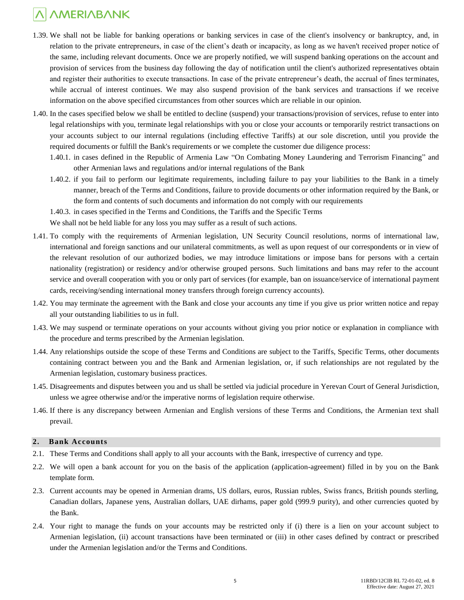- 1.39. We shall not be liable for banking operations or banking services in case of the client's insolvency or bankruptcy, and, in relation to the private entrepreneurs, in case of the client's death or incapacity, as long as we haven't received proper notice of the same, including relevant documents. Once we are properly notified, we will suspend banking operations on the account and provision of services from the business day following the day of notification until the client's authorized representatives obtain and register their authorities to execute transactions. In case of the private entrepreneur's death, the accrual of fines terminates, while accrual of interest continues. We may also suspend provision of the bank services and transactions if we receive information on the above specified circumstances from other sources which are reliable in our opinion.
- 1.40. In the cases specified below we shall be entitled to decline (suspend) your transactions/provision of services, refuse to enter into legal relationships with you, terminate legal relationships with you or close your accounts or temporarily restrict transactions on your accounts subject to our internal regulations (including effective Tariffs) at our sole discretion, until you provide the required documents or fulfill the Bank's requirements or we complete the customer due diligence process:
	- 1.40.1. in cases defined in the Republic of Armenia Law "On Combating Money Laundering and Terrorism Financing" and other Armenian laws and regulations and/or internal regulations of the Bank
	- 1.40.2. if you fail to perform our legitimate requirements, including failure to pay your liabilities to the Bank in a timely manner, breach of the Terms and Conditions, failure to provide documents or other information required by the Bank, or the form and contents of such documents and information do not comply with our requirements

1.40.3. in cases specified in the Terms and Conditions, the Tariffs and the Specific Terms

We shall not be held liable for any loss you may suffer as a result of such actions.

- 1.41. To comply with the requirements of Armenian legislation, UN Security Council resolutions, norms of international law, international and foreign sanctions and our unilateral commitments, as well as upon request of our correspondents or in view of the relevant resolution of our authorized bodies, we may introduce limitations or impose bans for persons with a certain nationality (registration) or residency and/or otherwise grouped persons. Such limitations and bans may refer to the account service and overall cooperation with you or only part of services (for example, ban on issuance/service of international payment cards, receiving/sending international money transfers through foreign currency accounts).
- 1.42. You may terminate the agreement with the Bank and close your accounts any time if you give us prior written notice and repay all your outstanding liabilities to us in full.
- 1.43. We may suspend or terminate operations on your accounts without giving you prior notice or explanation in compliance with the procedure and terms prescribed by the Armenian legislation.
- 1.44. Any relationships outside the scope of these Terms and Conditions are subject to the Tariffs, Specific Terms, other documents containing contract between you and the Bank and Armenian legislation, or, if such relationships are not regulated by the Armenian legislation, customary business practices.
- 1.45. Disagreements and disputes between you and us shall be settled via judicial procedure in Yerevan Court of General Jurisdiction, unless we agree otherwise and/or the imperative norms of legislation require otherwise.
- 1.46. If there is any discrepancy between Armenian and English versions of these Terms and Conditions, the Armenian text shall prevail.

### **2. Bank Accounts**

- 2.1. These Terms and Conditions shall apply to all your accounts with the Bank, irrespective of currency and type.
- 2.2. We will open a bank account for you on the basis of the application (application-agreement) filled in by you on the Bank template form.
- 2.3. Current accounts may be opened in Armenian drams, US dollars, euros, Russian rubles, Swiss francs, British pounds sterling, Canadian dollars, Japanese yens, Australian dollars, UAE dirhams, paper gold (999.9 purity), and other currencies quoted by the Bank.
- 2.4. Your right to manage the funds on your accounts may be restricted only if (i) there is a lien on your account subject to Armenian legislation, (ii) account transactions have been terminated or (iii) in other cases defined by contract or prescribed under the Armenian legislation and/or the Terms and Conditions.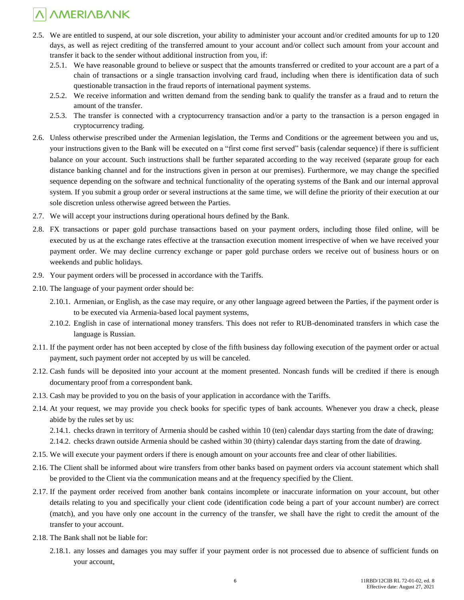- 2.5. We are entitled to suspend, at our sole discretion, your ability to administer your account and/or credited amounts for up to 120 days, as well as reject crediting of the transferred amount to your account and/or collect such amount from your account and transfer it back to the sender without additional instruction from you, if:
	- 2.5.1. We have reasonable ground to believe or suspect that the amounts transferred or credited to your account are a part of a chain of transactions or a single transaction involving card fraud, including when there is identification data of such questionable transaction in the fraud reports of international payment systems.
	- 2.5.2. We receive information and written demand from the sending bank to qualify the transfer as a fraud and to return the amount of the transfer.
	- 2.5.3. The transfer is connected with a cryptocurrency transaction and/or a party to the transaction is a person engaged in cryptocurrency trading.
- 2.6. Unless otherwise prescribed under the Armenian legislation, the Terms and Conditions or the agreement between you and us, your instructions given to the Bank will be executed on a "first come first served" basis (calendar sequence) if there is sufficient balance on your account. Such instructions shall be further separated according to the way received (separate group for each distance banking channel and for the instructions given in person at our premises). Furthermore, we may change the specified sequence depending on the software and technical functionality of the operating systems of the Bank and our internal approval system. If you submit a group order or several instructions at the same time, we will define the priority of their execution at our sole discretion unless otherwise agreed between the Parties.
- 2.7. We will accept your instructions during operational hours defined by the Bank.
- 2.8. FX transactions or paper gold purchase transactions based on your payment orders, including those filed online, will be executed by us at the exchange rates effective at the transaction execution moment irrespective of when we have received your payment order. We may decline currency exchange or paper gold purchase orders we receive out of business hours or on weekends and public holidays.
- 2.9. Your payment orders will be processed in accordance with the Tariffs.
- 2.10. The language of your payment order should be:
	- 2.10.1. Armenian, or English, as the case may require, or any other language agreed between the Parties, if the payment order is to be executed via Armenia-based local payment systems,
	- 2.10.2. English in case of international money transfers. This does not refer to RUB-denominated transfers in which case the language is Russian.
- 2.11. If the payment order has not been accepted by close of the fifth business day following execution of the payment order or actual payment, such payment order not accepted by us will be canceled.
- 2.12. Cash funds will be deposited into your account at the moment presented. Noncash funds will be credited if there is enough documentary proof from a correspondent bank.
- 2.13. Cash may be provided to you on the basis of your application in accordance with the Tariffs.
- 2.14. At your request, we may provide you check books for specific types of bank accounts. Whenever you draw a check, please abide by the rules set by us:

2.14.1. checks drawn in territory of Armenia should be cashed within 10 (ten) calendar days starting from the date of drawing;

2.14.2. checks drawn outside Armenia should be cashed within 30 (thirty) calendar days starting from the date of drawing.

- 2.15. We will execute your payment orders if there is enough amount on your accounts free and clear of other liabilities.
- 2.16. The Client shall be informed about wire transfers from other banks based on payment orders via account statement which shall be provided to the Client via the communication means and at the frequency specified by the Client.
- 2.17. If the payment order received from another bank contains incomplete or inaccurate information on your account, but other details relating to you and specifically your client code (identification code being a part of your account number) are correct (match), and you have only one account in the currency of the transfer, we shall have the right to credit the amount of the transfer to your account.
- 2.18. The Bank shall not be liable for:
	- 2.18.1. any losses and damages you may suffer if your payment order is not processed due to absence of sufficient funds on your account,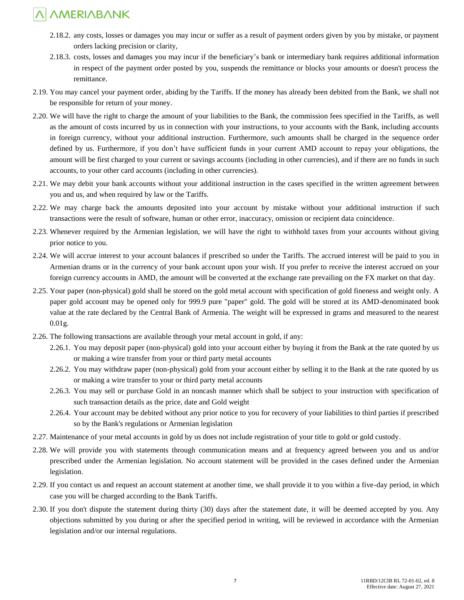- 2.18.2. any costs, losses or damages you may incur or suffer as a result of payment orders given by you by mistake, or payment orders lacking precision or clarity,
- 2.18.3. costs, losses and damages you may incur if the beneficiary's bank or intermediary bank requires additional information in respect of the payment order posted by you, suspends the remittance or blocks your amounts or doesn't process the remittance.
- 2.19. You may cancel your payment order, abiding by the Tariffs. If the money has already been debited from the Bank, we shall not be responsible for return of your money.
- 2.20. We will have the right to charge the amount of your liabilities to the Bank, the commission fees specified in the Tariffs, as well as the amount of costs incurred by us in connection with your instructions, to your accounts with the Bank, including accounts in foreign currency, without your additional instruction. Furthermore, such amounts shall be charged in the sequence order defined by us. Furthermore, if you don't have sufficient funds in your current AMD account to repay your obligations, the amount will be first charged to your current or savings accounts (including in other currencies), and if there are no funds in such accounts, to your other card accounts (including in other currencies).
- 2.21. We may debit your bank accounts without your additional instruction in the cases specified in the written agreement between you and us, and when required by law or the Tariffs.
- 2.22. We may charge back the amounts deposited into your account by mistake without your additional instruction if such transactions were the result of software, human or other error, inaccuracy, omission or recipient data coincidence.
- 2.23. Whenever required by the Armenian legislation, we will have the right to withhold taxes from your accounts without giving prior notice to you.
- 2.24. We will accrue interest to your account balances if prescribed so under the Tariffs. The accrued interest will be paid to you in Armenian drams or in the currency of your bank account upon your wish. If you prefer to receive the interest accrued on your foreign currency accounts in AMD, the amount will be converted at the exchange rate prevailing on the FX market on that day.
- 2.25. Your paper (non-physical) gold shall be stored on the gold metal account with specification of gold fineness and weight only. A paper gold account may be opened only for 999.9 pure "paper" gold. The gold will be stored at its AMD-denominated book value at the rate declared by the Central Bank of Armenia. The weight will be expressed in grams and measured to the nearest 0.01g.
- 2.26. The following transactions are available through your metal account in gold, if any:
	- 2.26.1. You may deposit paper (non-physical) gold into your account either by buying it from the Bank at the rate quoted by us or making a wire transfer from your or third party metal accounts
	- 2.26.2. You may withdraw paper (non-physical) gold from your account either by selling it to the Bank at the rate quoted by us or making a wire transfer to your or third party metal accounts
	- 2.26.3. You may sell or purchase Gold in an noncash manner which shall be subject to your instruction with specification of such transaction details as the price, date and Gold weight
	- 2.26.4. Your account may be debited without any prior notice to you for recovery of your liabilities to third parties if prescribed so by the Bank's regulations or Armenian legislation
- 2.27. Maintenance of your metal accounts in gold by us does not include registration of your title to gold or gold custody.
- 2.28. We will provide you with statements through communication means and at frequency agreed between you and us and/or prescribed under the Armenian legislation. No account statement will be provided in the cases defined under the Armenian legislation.
- 2.29. If you contact us and request an account statement at another time, we shall provide it to you within a five-day period, in which case you will be charged according to the Bank Tariffs.
- 2.30. If you don't dispute the statement during thirty (30) days after the statement date, it will be deemed accepted by you. Any objections submitted by you during or after the specified period in writing, will be reviewed in accordance with the Armenian legislation and/or our internal regulations.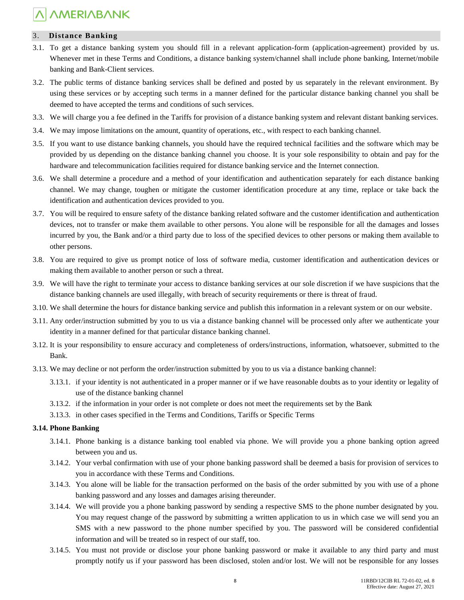### 3. **Distance Banking**

- 3.1. To get a distance banking system you should fill in a relevant application-form (application-agreement) provided by us. Whenever met in these Terms and Conditions, a distance banking system/channel shall include phone banking, Internet/mobile banking and Bank-Client services.
- 3.2. The public terms of distance banking services shall be defined and posted by us separately in the relevant environment. By using these services or by accepting such terms in a manner defined for the particular distance banking channel you shall be deemed to have accepted the terms and conditions of such services.
- 3.3. We will charge you a fee defined in the Tariffs for provision of a distance banking system and relevant distant banking services.
- 3.4. We may impose limitations on the amount, quantity of operations, etc., with respect to each banking channel.
- 3.5. If you want to use distance banking channels, you should have the required technical facilities and the software which may be provided by us depending on the distance banking channel you choose. It is your sole responsibility to obtain and pay for the hardware and telecommunication facilities required for distance banking service and the Internet connection.
- 3.6. We shall determine a procedure and a method of your identification and authentication separately for each distance banking channel. We may change, toughen or mitigate the customer identification procedure at any time, replace or take back the identification and authentication devices provided to you.
- 3.7. You will be required to ensure safety of the distance banking related software and the customer identification and authentication devices, not to transfer or make them available to other persons. You alone will be responsible for all the damages and losses incurred by you, the Bank and/or a third party due to loss of the specified devices to other persons or making them available to other persons.
- 3.8. You are required to give us prompt notice of loss of software media, customer identification and authentication devices or making them available to another person or such a threat.
- 3.9. We will have the right to terminate your access to distance banking services at our sole discretion if we have suspicions that the distance banking channels are used illegally, with breach of security requirements or there is threat of fraud.
- 3.10. We shall determine the hours for distance banking service and publish this information in a relevant system or on our website.
- 3.11. Any order/instruction submitted by you to us via a distance banking channel will be processed only after we authenticate your identity in a manner defined for that particular distance banking channel.
- 3.12. It is your responsibility to ensure accuracy and completeness of orders/instructions, information, whatsoever, submitted to the Bank.
- 3.13. We may decline or not perform the order/instruction submitted by you to us via a distance banking channel:
	- 3.13.1. if your identity is not authenticated in a proper manner or if we have reasonable doubts as to your identity or legality of use of the distance banking channel
	- 3.13.2. if the information in your order is not complete or does not meet the requirements set by the Bank
	- 3.13.3. in other cases specified in the Terms and Conditions, Tariffs or Specific Terms

#### **3.14. Phone Banking**

- 3.14.1. Phone banking is a distance banking tool enabled via phone. We will provide you a phone banking option agreed between you and us.
- 3.14.2. Your verbal confirmation with use of your phone banking password shall be deemed a basis for provision of services to you in accordance with these Terms and Conditions.
- 3.14.3. You alone will be liable for the transaction performed on the basis of the order submitted by you with use of a phone banking password and any losses and damages arising thereunder.
- 3.14.4. We will provide you a phone banking password by sending a respective SMS to the phone number designated by you. You may request change of the password by submitting a written application to us in which case we will send you an SMS with a new password to the phone number specified by you. The password will be considered confidential information and will be treated so in respect of our staff, too.
- 3.14.5. You must not provide or disclose your phone banking password or make it available to any third party and must promptly notify us if your password has been disclosed, stolen and/or lost. We will not be responsible for any losses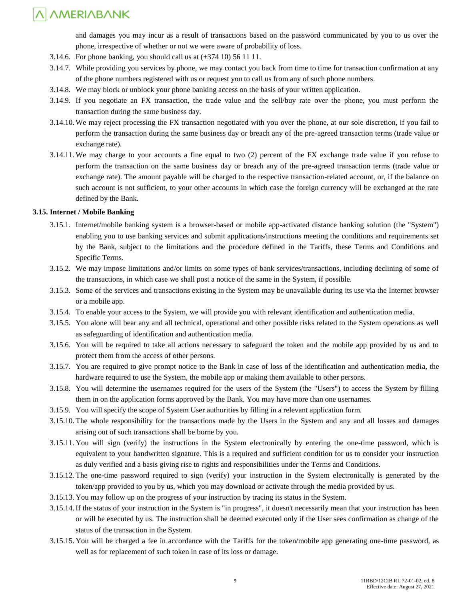and damages you may incur as a result of transactions based on the password communicated by you to us over the phone, irrespective of whether or not we were aware of probability of loss.

- 3.14.6. For phone banking, you should call us at  $(+374\,10)$  56 11 11.
- 3.14.7. While providing you services by phone, we may contact you back from time to time for transaction confirmation at any of the phone numbers registered with us or request you to call us from any of such phone numbers.
- 3.14.8. We may block or unblock your phone banking access on the basis of your written application.
- 3.14.9. If you negotiate an FX transaction, the trade value and the sell/buy rate over the phone, you must perform the transaction during the same business day.
- 3.14.10.We may reject processing the FX transaction negotiated with you over the phone, at our sole discretion, if you fail to perform the transaction during the same business day or breach any of the pre-agreed transaction terms (trade value or exchange rate).
- 3.14.11.We may charge to your accounts a fine equal to two (2) percent of the FX exchange trade value if you refuse to perform the transaction on the same business day or breach any of the pre-agreed transaction terms (trade value or exchange rate). The amount payable will be charged to the respective transaction-related account, or, if the balance on such account is not sufficient, to your other accounts in which case the foreign currency will be exchanged at the rate defined by the Bank.

### **3.15. Internet / Mobile Banking**

- 3.15.1. Internet/mobile banking system is a browser-based or mobile app-activated distance banking solution (the "System") enabling you to use banking services and submit applications/instructions meeting the conditions and requirements set by the Bank, subject to the limitations and the procedure defined in the Tariffs, these Terms and Conditions and Specific Terms.
- 3.15.2. We may impose limitations and/or limits on some types of bank services/transactions, including declining of some of the transactions, in which case we shall post a notice of the same in the System, if possible.
- 3.15.3. Some of the services and transactions existing in the System may be unavailable during its use via the Internet browser or a mobile app.
- 3.15.4. To enable your access to the System, we will provide you with relevant identification and authentication media.
- 3.15.5. You alone will bear any and all technical, operational and other possible risks related to the System operations as well as safeguarding of identification and authentication media.
- 3.15.6. You will be required to take all actions necessary to safeguard the token and the mobile app provided by us and to protect them from the access of other persons.
- 3.15.7. You are required to give prompt notice to the Bank in case of loss of the identification and authentication media, the hardware required to use the System, the mobile app or making them available to other persons.
- 3.15.8. You will determine the usernames required for the users of the System (the "Users") to access the System by filling them in on the application forms approved by the Bank. You may have more than one usernames.
- 3.15.9. You will specify the scope of System User authorities by filling in a relevant application form.
- 3.15.10. The whole responsibility for the transactions made by the Users in the System and any and all losses and damages arising out of such transactions shall be borne by you.
- 3.15.11. You will sign (verify) the instructions in the System electronically by entering the one-time password, which is equivalent to your handwritten signature. This is a required and sufficient condition for us to consider your instruction as duly verified and a basis giving rise to rights and responsibilities under the Terms and Conditions.
- 3.15.12. The one-time password required to sign (verify) your instruction in the System electronically is generated by the token/app provided to you by us, which you may download or activate through the media provided by us.
- 3.15.13. You may follow up on the progress of your instruction by tracing its status in the System.
- 3.15.14.If the status of your instruction in the System is "in progress", it doesn't necessarily mean that your instruction has been or will be executed by us. The instruction shall be deemed executed only if the User sees confirmation as change of the status of the transaction in the System.
- 3.15.15. You will be charged a fee in accordance with the Tariffs for the token/mobile app generating one-time password, as well as for replacement of such token in case of its loss or damage.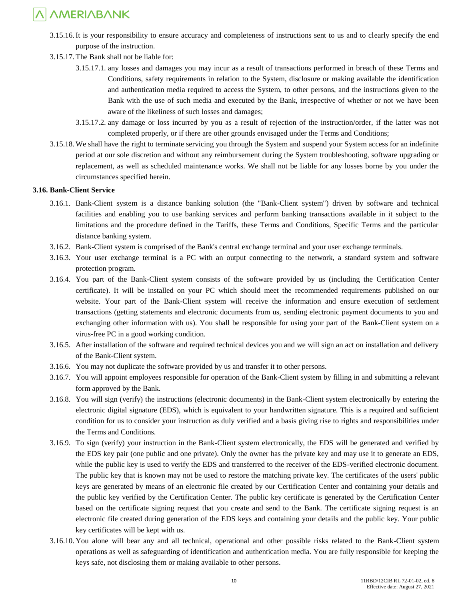- 3.15.16.It is your responsibility to ensure accuracy and completeness of instructions sent to us and to clearly specify the end purpose of the instruction.
- 3.15.17. The Bank shall not be liable for:
	- 3.15.17.1. any losses and damages you may incur as a result of transactions performed in breach of these Terms and Conditions, safety requirements in relation to the System, disclosure or making available the identification and authentication media required to access the System, to other persons, and the instructions given to the Bank with the use of such media and executed by the Bank, irrespective of whether or not we have been aware of the likeliness of such losses and damages;
	- 3.15.17.2. any damage or loss incurred by you as a result of rejection of the instruction/order, if the latter was not completed properly, or if there are other grounds envisaged under the Terms and Conditions;
- 3.15.18.We shall have the right to terminate servicing you through the System and suspend your System access for an indefinite period at our sole discretion and without any reimbursement during the System troubleshooting, software upgrading or replacement, as well as scheduled maintenance works. We shall not be liable for any losses borne by you under the circumstances specified herein.

#### **3.16. Bank-Client Service**

- 3.16.1. Bank-Client system is a distance banking solution (the "Bank-Client system") driven by software and technical facilities and enabling you to use banking services and perform banking transactions available in it subject to the limitations and the procedure defined in the Tariffs, these Terms and Conditions, Specific Terms and the particular distance banking system.
- 3.16.2. Bank-Client system is comprised of the Bank's central exchange terminal and your user exchange terminals.
- 3.16.3. Your user exchange terminal is a PC with an output connecting to the network, a standard system and software protection program.
- 3.16.4. You part of the Bank-Client system consists of the software provided by us (including the Certification Center certificate). It will be installed on your PC which should meet the recommended requirements published on our website. Your part of the Bank-Client system will receive the information and ensure execution of settlement transactions (getting statements and electronic documents from us, sending electronic payment documents to you and exchanging other information with us). You shall be responsible for using your part of the Bank-Client system on a virus-free PC in a good working condition.
- 3.16.5. After installation of the software and required technical devices you and we will sign an act on installation and delivery of the Bank-Client system.
- 3.16.6. You may not duplicate the software provided by us and transfer it to other persons.
- 3.16.7. You will appoint employees responsible for operation of the Bank-Client system by filling in and submitting a relevant form approved by the Bank.
- 3.16.8. You will sign (verify) the instructions (electronic documents) in the Bank-Client system electronically by entering the electronic digital signature (EDS), which is equivalent to your handwritten signature. This is a required and sufficient condition for us to consider your instruction as duly verified and a basis giving rise to rights and responsibilities under the Terms and Conditions.
- 3.16.9. To sign (verify) your instruction in the Bank-Client system electronically, the EDS will be generated and verified by the EDS key pair (one public and one private). Only the owner has the private key and may use it to generate an EDS, while the public key is used to verify the EDS and transferred to the receiver of the EDS-verified electronic document. The public key that is known may not be used to restore the matching private key. The certificates of the users' public keys are generated by means of an electronic file created by our Certification Center and containing your details and the public key verified by the Certification Center. The public key certificate is generated by the Certification Center based on the certificate signing request that you create and send to the Bank. The certificate signing request is an electronic file created during generation of the EDS keys and containing your details and the public key. Your public key certificates will be kept with us.
- 3.16.10. You alone will bear any and all technical, operational and other possible risks related to the Bank-Client system operations as well as safeguarding of identification and authentication media. You are fully responsible for keeping the keys safe, not disclosing them or making available to other persons.